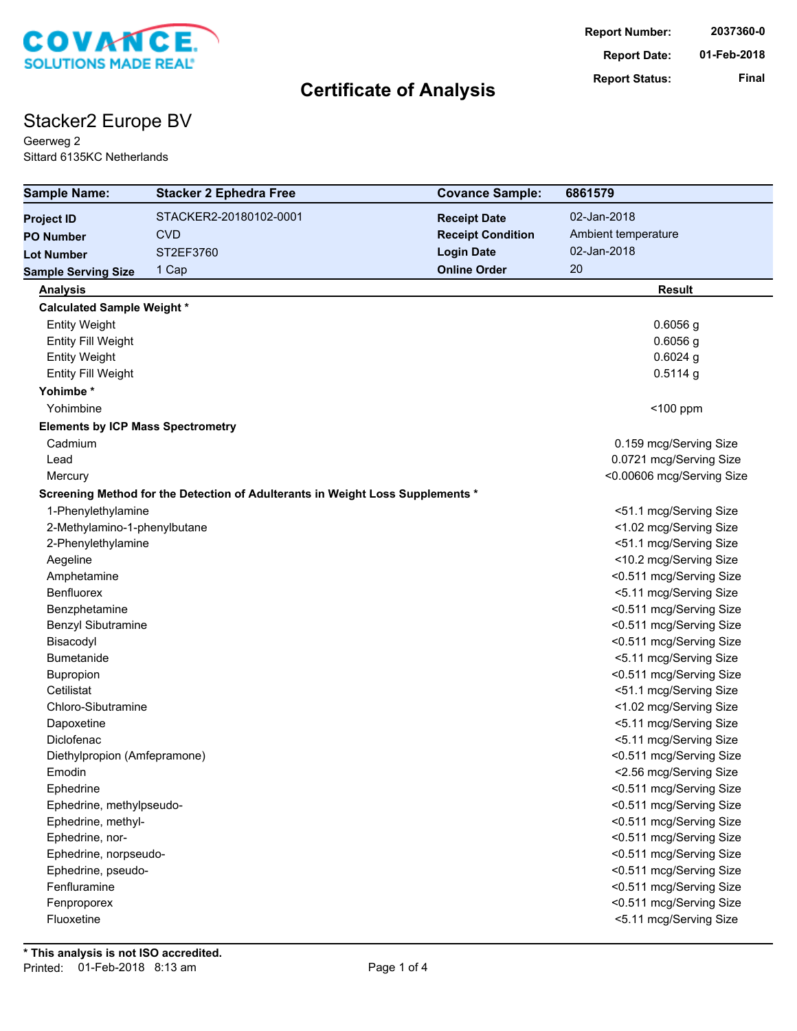

# Stacker2 Europe BV

Geerweg 2 Sittard 6135KC Netherlands

| <b>Sample Name:</b>                      | <b>Stacker 2 Ephedra Free</b>                                                  | <b>Covance Sample:</b>   | 6861579                                            |
|------------------------------------------|--------------------------------------------------------------------------------|--------------------------|----------------------------------------------------|
| <b>Project ID</b>                        | STACKER2-20180102-0001                                                         | <b>Receipt Date</b>      | 02-Jan-2018                                        |
| <b>PO Number</b>                         | <b>CVD</b>                                                                     | <b>Receipt Condition</b> | Ambient temperature                                |
| <b>Lot Number</b>                        | ST2EF3760                                                                      | <b>Login Date</b>        | 02-Jan-2018                                        |
| <b>Sample Serving Size</b>               | 1 Cap                                                                          | <b>Online Order</b>      | 20                                                 |
| <b>Analysis</b>                          |                                                                                |                          | <b>Result</b>                                      |
| <b>Calculated Sample Weight *</b>        |                                                                                |                          |                                                    |
| <b>Entity Weight</b>                     |                                                                                |                          | $0.6056$ g                                         |
| Entity Fill Weight                       |                                                                                |                          | $0.6056$ g                                         |
| <b>Entity Weight</b>                     |                                                                                |                          | $0.6024$ g                                         |
| <b>Entity Fill Weight</b>                |                                                                                |                          | $0.5114$ g                                         |
| Yohimbe*                                 |                                                                                |                          |                                                    |
| Yohimbine                                |                                                                                |                          | $<$ 100 ppm                                        |
| <b>Elements by ICP Mass Spectrometry</b> |                                                                                |                          |                                                    |
| Cadmium                                  |                                                                                |                          | 0.159 mcg/Serving Size                             |
| Lead                                     |                                                                                |                          | 0.0721 mcg/Serving Size                            |
| Mercury                                  |                                                                                |                          | <0.00606 mcg/Serving Size                          |
|                                          | Screening Method for the Detection of Adulterants in Weight Loss Supplements * |                          |                                                    |
| 1-Phenylethylamine                       |                                                                                |                          | <51.1 mcg/Serving Size                             |
| 2-Methylamino-1-phenylbutane             |                                                                                |                          | <1.02 mcg/Serving Size                             |
| 2-Phenylethylamine                       |                                                                                |                          | <51.1 mcg/Serving Size                             |
| Aegeline                                 |                                                                                |                          | <10.2 mcg/Serving Size                             |
| Amphetamine                              |                                                                                |                          | <0.511 mcg/Serving Size                            |
| Benfluorex                               |                                                                                |                          | <5.11 mcg/Serving Size                             |
| Benzphetamine                            |                                                                                |                          | <0.511 mcg/Serving Size                            |
| Benzyl Sibutramine                       |                                                                                |                          | <0.511 mcg/Serving Size                            |
| Bisacodyl                                |                                                                                |                          | <0.511 mcg/Serving Size                            |
| <b>Bumetanide</b>                        |                                                                                |                          | <5.11 mcg/Serving Size                             |
| Bupropion                                |                                                                                |                          | <0.511 mcg/Serving Size                            |
| Cetilistat                               |                                                                                |                          | <51.1 mcg/Serving Size                             |
| Chloro-Sibutramine                       |                                                                                |                          | <1.02 mcg/Serving Size                             |
| Dapoxetine                               |                                                                                |                          | <5.11 mcg/Serving Size                             |
| Diclofenac                               |                                                                                |                          | <5.11 mcg/Serving Size                             |
| Diethylpropion (Amfepramone)             |                                                                                |                          | <0.511 mcg/Serving Size                            |
| Emodin                                   |                                                                                |                          | <2.56 mcg/Serving Size                             |
| Ephedrine                                |                                                                                |                          | <0.511 mcg/Serving Size                            |
| Ephedrine, methylpseudo-                 |                                                                                |                          | <0.511 mcg/Serving Size                            |
| Ephedrine, methyl-                       |                                                                                |                          | <0.511 mcg/Serving Size                            |
| Ephedrine, nor-                          |                                                                                |                          | <0.511 mcg/Serving Size                            |
| Ephedrine, norpseudo-                    |                                                                                |                          | <0.511 mcg/Serving Size<br><0.511 mcg/Serving Size |
| Ephedrine, pseudo-<br>Fenfluramine       |                                                                                |                          | <0.511 mcg/Serving Size                            |
| Fenproporex                              |                                                                                |                          | <0.511 mcg/Serving Size                            |
| Fluoxetine                               |                                                                                |                          | <5.11 mcg/Serving Size                             |
|                                          |                                                                                |                          |                                                    |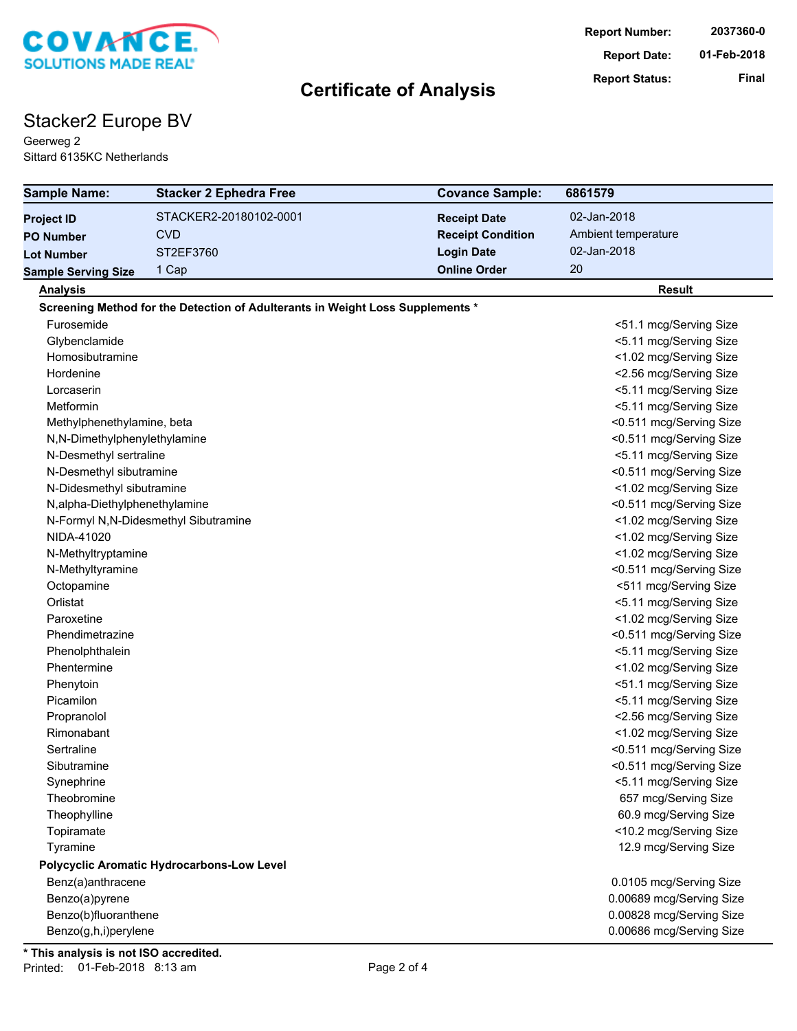

# Stacker2 Europe BV

Geerweg 2 Sittard 6135KC Netherlands

| <b>Sample Name:</b>           | <b>Stacker 2 Ephedra Free</b>                                                  | <b>Covance Sample:</b>   | 6861579                  |
|-------------------------------|--------------------------------------------------------------------------------|--------------------------|--------------------------|
| <b>Project ID</b>             | STACKER2-20180102-0001                                                         | <b>Receipt Date</b>      | 02-Jan-2018              |
| <b>PO Number</b>              | <b>CVD</b>                                                                     | <b>Receipt Condition</b> | Ambient temperature      |
| <b>Lot Number</b>             | ST2EF3760                                                                      | <b>Login Date</b>        | 02-Jan-2018              |
| <b>Sample Serving Size</b>    | 1 Cap                                                                          | <b>Online Order</b>      | 20                       |
| <b>Analysis</b>               |                                                                                |                          | Result                   |
|                               | Screening Method for the Detection of Adulterants in Weight Loss Supplements * |                          |                          |
| Furosemide                    |                                                                                |                          | <51.1 mcg/Serving Size   |
| Glybenclamide                 |                                                                                |                          | <5.11 mcg/Serving Size   |
| Homosibutramine               |                                                                                |                          | <1.02 mcg/Serving Size   |
| Hordenine                     |                                                                                |                          | <2.56 mcg/Serving Size   |
| Lorcaserin                    |                                                                                |                          | <5.11 mcg/Serving Size   |
| Metformin                     |                                                                                |                          | <5.11 mcg/Serving Size   |
| Methylphenethylamine, beta    |                                                                                |                          | <0.511 mcg/Serving Size  |
| N,N-Dimethylphenylethylamine  |                                                                                |                          | <0.511 mcg/Serving Size  |
| N-Desmethyl sertraline        |                                                                                |                          | <5.11 mcg/Serving Size   |
| N-Desmethyl sibutramine       |                                                                                |                          | <0.511 mcg/Serving Size  |
| N-Didesmethyl sibutramine     |                                                                                |                          | <1.02 mcg/Serving Size   |
| N,alpha-Diethylphenethylamine |                                                                                |                          | <0.511 mcg/Serving Size  |
|                               | N-Formyl N,N-Didesmethyl Sibutramine                                           |                          | <1.02 mcg/Serving Size   |
| NIDA-41020                    |                                                                                |                          | <1.02 mcg/Serving Size   |
| N-Methyltryptamine            |                                                                                |                          | <1.02 mcg/Serving Size   |
| N-Methyltyramine              |                                                                                |                          | <0.511 mcg/Serving Size  |
| Octopamine                    |                                                                                |                          | <511 mcg/Serving Size    |
| Orlistat                      |                                                                                |                          | <5.11 mcg/Serving Size   |
| Paroxetine                    |                                                                                |                          | <1.02 mcg/Serving Size   |
| Phendimetrazine               |                                                                                |                          | <0.511 mcg/Serving Size  |
| Phenolphthalein               |                                                                                |                          | <5.11 mcg/Serving Size   |
| Phentermine                   |                                                                                |                          | <1.02 mcg/Serving Size   |
| Phenytoin                     |                                                                                |                          | <51.1 mcg/Serving Size   |
| Picamilon                     |                                                                                |                          | <5.11 mcg/Serving Size   |
| Propranolol                   |                                                                                |                          | <2.56 mcg/Serving Size   |
| Rimonabant                    |                                                                                |                          | <1.02 mcg/Serving Size   |
| Sertraline                    |                                                                                |                          | <0.511 mcg/Serving Size  |
| Sibutramine                   |                                                                                |                          | <0.511 mcg/Serving Size  |
| Synephrine                    |                                                                                |                          | <5.11 mcg/Serving Size   |
| Theobromine                   |                                                                                |                          | 657 mcg/Serving Size     |
| Theophylline                  |                                                                                |                          | 60.9 mcg/Serving Size    |
| Topiramate                    |                                                                                |                          | <10.2 mcg/Serving Size   |
| Tyramine                      |                                                                                |                          | 12.9 mcg/Serving Size    |
|                               | Polycyclic Aromatic Hydrocarbons-Low Level                                     |                          |                          |
| Benz(a)anthracene             |                                                                                |                          | 0.0105 mcg/Serving Size  |
| Benzo(a)pyrene                |                                                                                |                          | 0.00689 mcg/Serving Size |
| Benzo(b)fluoranthene          |                                                                                |                          | 0.00828 mcg/Serving Size |
| Benzo(g,h,i)perylene          |                                                                                |                          | 0.00686 mcg/Serving Size |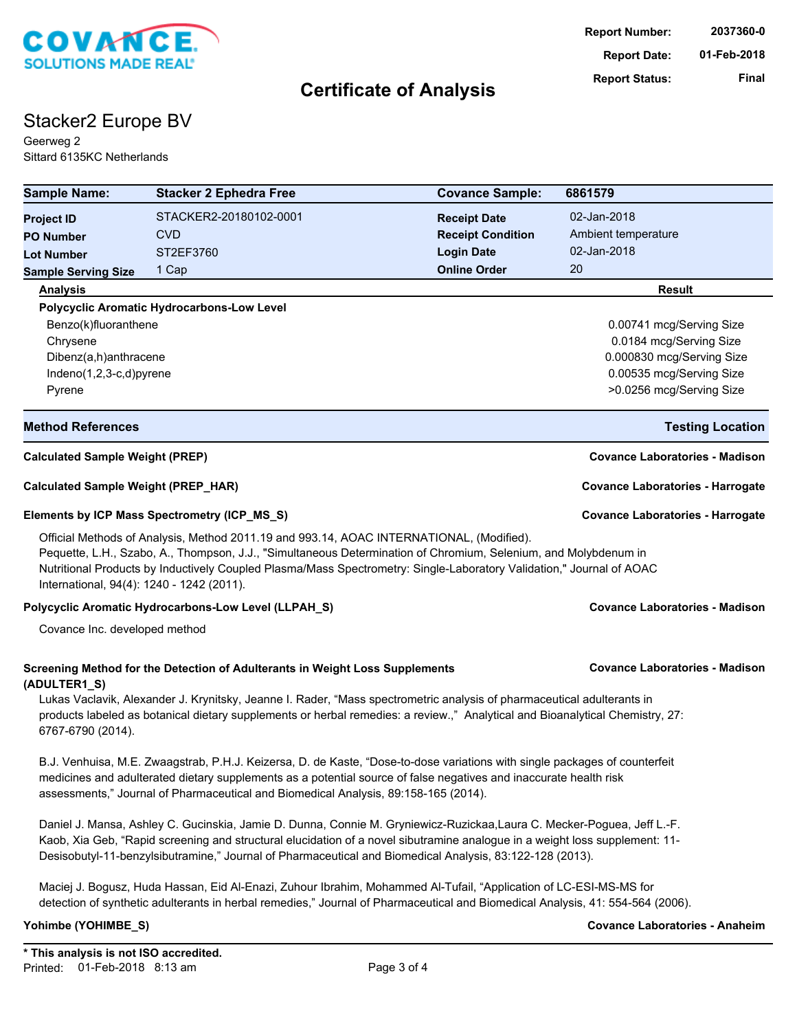

# Stacker2 Europe BV

Geerweg 2 Sittard 6135KC Netherlands

| <b>Sample Name:</b>                                                                          | <b>Stacker 2 Ephedra Free</b>                                                                                                                                                                                                                                                                                                                                     | <b>Covance Sample:</b>   | 6861579                                 |
|----------------------------------------------------------------------------------------------|-------------------------------------------------------------------------------------------------------------------------------------------------------------------------------------------------------------------------------------------------------------------------------------------------------------------------------------------------------------------|--------------------------|-----------------------------------------|
| <b>Project ID</b>                                                                            | STACKER2-20180102-0001                                                                                                                                                                                                                                                                                                                                            | <b>Receipt Date</b>      | 02-Jan-2018                             |
| <b>PO Number</b>                                                                             | <b>CVD</b>                                                                                                                                                                                                                                                                                                                                                        | <b>Receipt Condition</b> | Ambient temperature                     |
| <b>Lot Number</b>                                                                            | ST2EF3760                                                                                                                                                                                                                                                                                                                                                         | <b>Login Date</b>        | 02-Jan-2018                             |
| <b>Sample Serving Size</b>                                                                   | 1 Cap                                                                                                                                                                                                                                                                                                                                                             | <b>Online Order</b>      | 20                                      |
| <b>Analysis</b>                                                                              |                                                                                                                                                                                                                                                                                                                                                                   |                          | Result                                  |
|                                                                                              | <b>Polycyclic Aromatic Hydrocarbons-Low Level</b>                                                                                                                                                                                                                                                                                                                 |                          |                                         |
| Benzo(k)fluoranthene                                                                         |                                                                                                                                                                                                                                                                                                                                                                   |                          | 0.00741 mcg/Serving Size                |
| Chrysene                                                                                     |                                                                                                                                                                                                                                                                                                                                                                   |                          | 0.0184 mcg/Serving Size                 |
| Dibenz(a,h)anthracene                                                                        |                                                                                                                                                                                                                                                                                                                                                                   |                          | 0.000830 mcg/Serving Size               |
| Indeno(1,2,3-c,d)pyrene                                                                      |                                                                                                                                                                                                                                                                                                                                                                   |                          | 0.00535 mcg/Serving Size                |
| Pyrene                                                                                       |                                                                                                                                                                                                                                                                                                                                                                   |                          | >0.0256 mcg/Serving Size                |
| <b>Method References</b>                                                                     |                                                                                                                                                                                                                                                                                                                                                                   |                          | <b>Testing Location</b>                 |
| <b>Calculated Sample Weight (PREP)</b>                                                       |                                                                                                                                                                                                                                                                                                                                                                   |                          | <b>Covance Laboratories - Madison</b>   |
| <b>Calculated Sample Weight (PREP_HAR)</b>                                                   |                                                                                                                                                                                                                                                                                                                                                                   |                          | <b>Covance Laboratories - Harrogate</b> |
|                                                                                              | Elements by ICP Mass Spectrometry (ICP_MS_S)                                                                                                                                                                                                                                                                                                                      |                          | <b>Covance Laboratories - Harrogate</b> |
| International, 94(4): 1240 - 1242 (2011).                                                    | Official Methods of Analysis, Method 2011.19 and 993.14, AOAC INTERNATIONAL, (Modified).<br>Pequette, L.H., Szabo, A., Thompson, J.J., "Simultaneous Determination of Chromium, Selenium, and Molybdenum in<br>Nutritional Products by Inductively Coupled Plasma/Mass Spectrometry: Single-Laboratory Validation," Journal of AOAC                               |                          |                                         |
|                                                                                              | Polycyclic Aromatic Hydrocarbons-Low Level (LLPAH_S)                                                                                                                                                                                                                                                                                                              |                          | <b>Covance Laboratories - Madison</b>   |
| Covance Inc. developed method                                                                |                                                                                                                                                                                                                                                                                                                                                                   |                          |                                         |
| Screening Method for the Detection of Adulterants in Weight Loss Supplements<br>(ADULTER1_S) |                                                                                                                                                                                                                                                                                                                                                                   |                          | <b>Covance Laboratories - Madison</b>   |
| 6767-6790 (2014).                                                                            | Lukas Vaclavik, Alexander J. Krynitsky, Jeanne I. Rader, "Mass spectrometric analysis of pharmaceutical adulterants in<br>products labeled as botanical dietary supplements or herbal remedies: a review.," Analytical and Bioanalytical Chemistry, 27:                                                                                                           |                          |                                         |
|                                                                                              | B.J. Venhuisa, M.E. Zwaagstrab, P.H.J. Keizersa, D. de Kaste, "Dose-to-dose variations with single packages of counterfeit<br>medicines and adulterated dietary supplements as a potential source of false negatives and inaccurate health risk<br>assessments," Journal of Pharmaceutical and Biomedical Analysis, 89:158-165 (2014).                            |                          |                                         |
|                                                                                              | Daniel J. Mansa, Ashley C. Gucinskia, Jamie D. Dunna, Connie M. Gryniewicz-Ruzickaa,Laura C. Mecker-Poguea, Jeff L.-F.<br>Kaob, Xia Geb, "Rapid screening and structural elucidation of a novel sibutramine analogue in a weight loss supplement: 11-<br>Desisobutyl-11-benzylsibutramine," Journal of Pharmaceutical and Biomedical Analysis, 83:122-128 (2013). |                          |                                         |
|                                                                                              | Maciej J. Bogusz, Huda Hassan, Eid Al-Enazi, Zuhour Ibrahim, Mohammed Al-Tufail, "Application of LC-ESI-MS-MS for<br>detection of synthetic adulterants in herbal remedies," Journal of Pharmaceutical and Biomedical Analysis, 41: 554-564 (2006).                                                                                                               |                          |                                         |
| Yohimbe (YOHIMBE_S)                                                                          |                                                                                                                                                                                                                                                                                                                                                                   |                          | <b>Covance Laboratories - Anaheim</b>   |